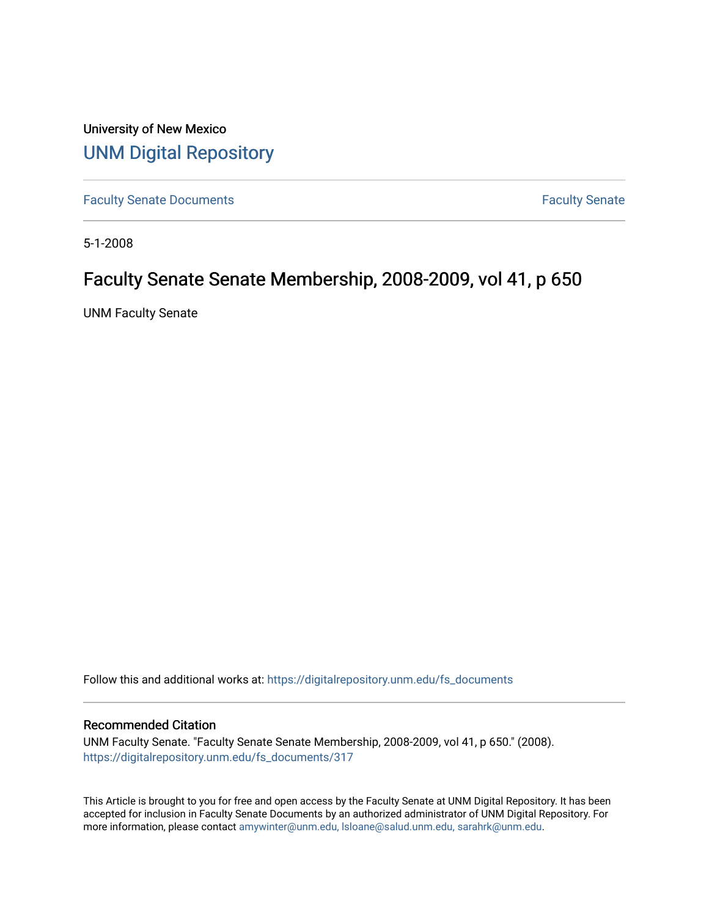University of New Mexico [UNM Digital Repository](https://digitalrepository.unm.edu/) 

[Faculty Senate Documents](https://digitalrepository.unm.edu/fs_documents) **Faculty** Senate **Faculty** Senate

5-1-2008

# Faculty Senate Senate Membership, 2008-2009, vol 41, p 650

UNM Faculty Senate

Follow this and additional works at: [https://digitalrepository.unm.edu/fs\\_documents](https://digitalrepository.unm.edu/fs_documents?utm_source=digitalrepository.unm.edu%2Ffs_documents%2F317&utm_medium=PDF&utm_campaign=PDFCoverPages)

### Recommended Citation

UNM Faculty Senate. "Faculty Senate Senate Membership, 2008-2009, vol 41, p 650." (2008). [https://digitalrepository.unm.edu/fs\\_documents/317](https://digitalrepository.unm.edu/fs_documents/317?utm_source=digitalrepository.unm.edu%2Ffs_documents%2F317&utm_medium=PDF&utm_campaign=PDFCoverPages)

This Article is brought to you for free and open access by the Faculty Senate at UNM Digital Repository. It has been accepted for inclusion in Faculty Senate Documents by an authorized administrator of UNM Digital Repository. For more information, please contact [amywinter@unm.edu, lsloane@salud.unm.edu, sarahrk@unm.edu](mailto:amywinter@unm.edu,%20lsloane@salud.unm.edu,%20sarahrk@unm.edu).